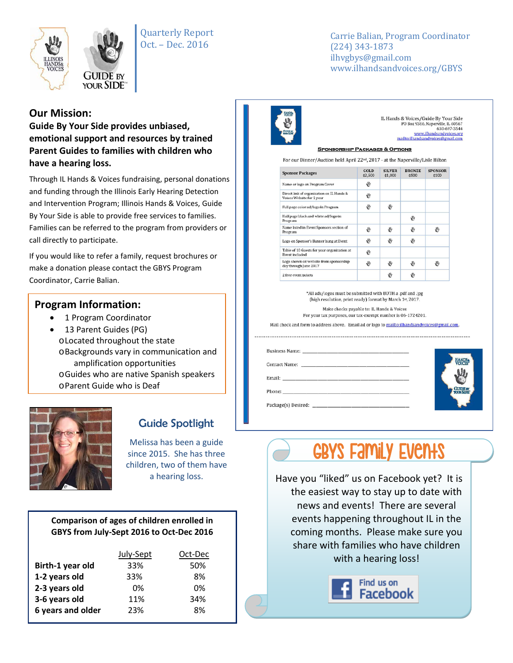

Quarterly Report Oct. – Dec. 2016

Carrie Balian, Program Coordinator (224) 343-1873 ilhvgbys@gmail.com www.ilhandsandvoices.org/GBYS

## **Our Mission:**

**Guide By Your Side provides unbiased, emotional support and resources by trained Parent Guides to families with children who have a hearing loss.** 

Through IL Hands & Voices fundraising, personal donations and funding through the Illinois Early Hearing Detection and Intervention Program; Illinois Hands & Voices, Guide By Your Side is able to provide free services to families. Families can be referred to the program from providers or call directly to participate.

If you would like to refer a family, request brochures or make a donation please contact the GBYS Program Coordinator, Carrie Balian.

### **Program Information:**

- 1 Program Coordinator
- 13 Parent Guides (PG) oLocated throughout the state oBackgrounds vary in communication and amplification opportunities oGuides who are native Spanish speakers oParent Guide who is Deaf



# Guide Spotlight

Melissa has been a guide since 2015. She has three children, two of them have a hearing loss.

#### **Comparison of ages of children enrolled in GBYS from July-Sept 2016 to Oct-Dec 2016**

|                   | July-Sept<br>Oct-Dec |     |
|-------------------|----------------------|-----|
| Birth-1 year old  | 33%                  | 50% |
| 1-2 years old     | 33%                  | 8%  |
| 2-3 years old     | በ%                   | በ%  |
| 3-6 years old     | 11%                  | 34% |
| 6 years and older | 23%                  | 8%  |



IL Hands & Voices/Guide By Your Side ex voices/ Gattle by Tour State<br>PO Box 9366, Naperville, IL 60567<br>630-697-3544<br>www.ilhandsandvoices.org mailto:ilhandsandvoices@gmail.com

#### **SPONSORSHIP PACKAGES & OPTIONS**

For our Dinner/Auction held April 22<sup>nd</sup>, 2017 - at the Naperville/Lisle Hilton

| <b>Sponsor Packages</b>                                                | GOLD<br>\$2,500 | <b>SILVER</b><br>\$1,000 | <b>BRONZE</b><br>\$500 | <b>SPONSOR</b><br>\$100 |
|------------------------------------------------------------------------|-----------------|--------------------------|------------------------|-------------------------|
| Name or logo on Program Cover                                          | 鬯               |                          |                        |                         |
| Direct link of organization on IL Hands &<br>Voices Website for 1 year | ₩               |                          |                        |                         |
| Full page color ad/logo in Program                                     | ₩               | 嵌                        |                        |                         |
| Half page black and white ad/logo in<br>Program                        |                 |                          | ₩                      |                         |
| Name listed in Event Sponsors section of<br>Program                    | 赀               | 鼎                        | 齿                      |                         |
| Logo on Sponsor's Banner hung at Event                                 | ₩               | ₩                        | ₩                      |                         |
| Table of 10 Guests for your organization at<br><b>Event</b> included   | ₩               |                          |                        |                         |
| Logo shown on website from sponsorship<br>day through June 2017        | ₩               | 鼎                        | ₩                      | ₩                       |
| 2 free event tickets                                                   |                 | 嵌                        | 齿                      |                         |

\*All ads/logos must be submitted with BOTH a .pdf and .jpg (high resolution, print ready) format by March 1st, 2017. Make checks payable to: IL Hands & Voices

For your tax purposes, our tax-exempt number is 06-1724201.

Mail check and form to address above. Email ad or logo to mailto:ilhandsandvoices@gmail.com.

|  | <b>STR</b> |
|--|------------|
|  |            |



Have you "liked" us on Facebook yet? It is the easiest way to stay up to date with news and events! There are several events happening throughout IL in the coming months. Please make sure you share with families who have children with a hearing loss!